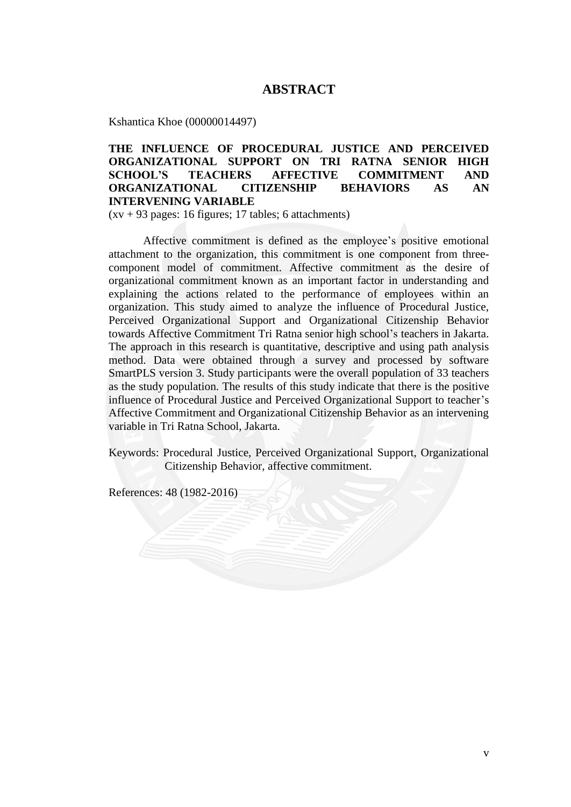## **ABSTRACT**

Kshantica Khoe (00000014497)

## **THE INFLUENCE OF PROCEDURAL JUSTICE AND PERCEIVED ORGANIZATIONAL SUPPORT ON TRI RATNA SENIOR HIGH SCHOOL'S TEACHERS AFFECTIVE COMMITMENT AND ORGANIZATIONAL CITIZENSHIP BEHAVIORS AS AN INTERVENING VARIABLE**

 $(xv + 93 \text{ pages: } 16 \text{ figures}; 17 \text{ tables}; 6 \text{ attachments})$ 

Affective commitment is defined as the employee's positive emotional attachment to the organization, this commitment is one component from threecomponent model of commitment. Affective commitment as the desire of organizational commitment known as an important factor in understanding and explaining the actions related to the performance of employees within an organization. This study aimed to analyze the influence of Procedural Justice, Perceived Organizational Support and Organizational Citizenship Behavior towards Affective Commitment Tri Ratna senior high school's teachers in Jakarta. The approach in this research is quantitative, descriptive and using path analysis method. Data were obtained through a survey and processed by software SmartPLS version 3. Study participants were the overall population of 33 teachers as the study population. The results of this study indicate that there is the positive influence of Procedural Justice and Perceived Organizational Support to teacher's Affective Commitment and Organizational Citizenship Behavior as an intervening variable in Tri Ratna School, Jakarta.

Keywords: Procedural Justice, Perceived Organizational Support, Organizational Citizenship Behavior, affective commitment.

References: 48 (1982-2016)